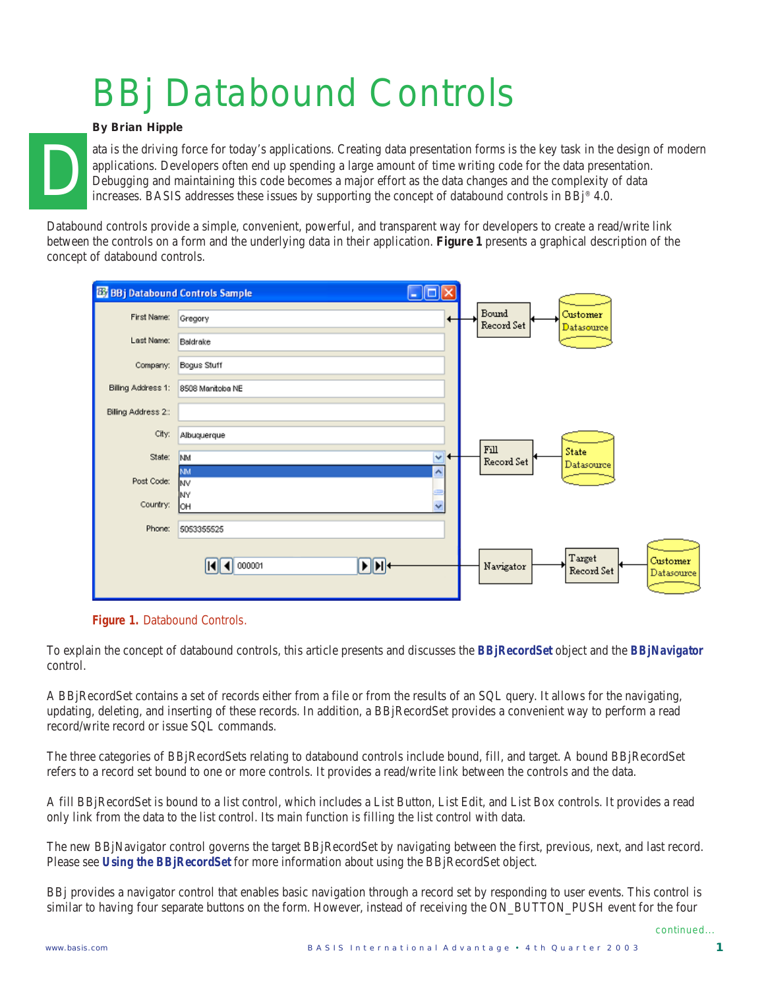# BBj Databound Controls

#### *By Brian Hipple*

ata is the driving force for today's applications. Creating data presentation forms is the key task in the design of modern applications. Developers often end up spending a large amount of time writing code for the data presentation. Debugging and maintaining this code becomes a major effort as the data changes and the complexity of data increases. BASIS addresses these issues by supporting the concept of databound controls in BBj® 4.0.

Databound controls provide a simple, convenient, powerful, and transparent way for developers to create a read/write link between the controls on a form and the underlying data in their application. **Figure 1** presents a graphical description of the concept of databound controls.

| <b>B3</b> BBj Databound Controls Sample |                                     | -   0               |                     |                                                |
|-----------------------------------------|-------------------------------------|---------------------|---------------------|------------------------------------------------|
| First Name:                             | Gregory                             |                     | Bound<br>Record Set | Customer<br><b>Datasource</b>                  |
| Last Name:                              | Baldrake                            |                     |                     |                                                |
| Company:                                | Bogus Stuff                         |                     |                     |                                                |
| Biling Address 1:                       | 8508 Manitoba NE                    |                     |                     |                                                |
| Biling Address 2::                      |                                     |                     |                     |                                                |
| City:                                   | Albuquerque                         |                     |                     |                                                |
| State:                                  | <b>NM</b>                           | v<br>٠              | Fill<br>Record Set  | State<br>Datasource                            |
| Post Code:                              | <b>NM</b><br>NV                     | $\hat{\phantom{a}}$ |                     |                                                |
| Country:                                | <b>NY</b><br><b>OH</b>              | $\ddotmark$         |                     |                                                |
| Phone:                                  | 5053355525                          |                     |                     |                                                |
|                                         | $\mathbf{F}$ $\mathbf{H}$<br>000001 |                     | Navigator           | Target<br>Customer<br>Record Set<br>Datasource |

**Figure 1.** Databound Controls.

To explain the concept of databound controls, this article presents and discusses the *BBjRecordSet* object and the *BBjNavigator* control.

A BBjRecordSet contains a set of records either from a file or from the results of an SQL query. It allows for the navigating, updating, deleting, and inserting of these records. In addition, a BBjRecordSet provides a convenient way to perform a read record/write record or issue SQL commands.

The three categories of BBjRecordSets relating to databound controls include bound, fill, and target. A bound BBjRecordSet refers to a record set bound to one or more controls. It provides a read/write link between the controls and the data.

A fill BBjRecordSet is bound to a list control, which includes a List Button, List Edit, and List Box controls. It provides a read only link from the data to the list control. Its main function is filling the list control with data.

The new BBjNavigator control governs the target BBjRecordSet by navigating between the first, previous, next, and last record. Please see *Using the BBjRecordSet* for more information about using the BBjRecordSet object.

BBj provides a navigator control that enables basic navigation through a record set by responding to user events. This control is similar to having four separate buttons on the form. However, instead of receiving the ON\_BUTTON\_PUSH event for the four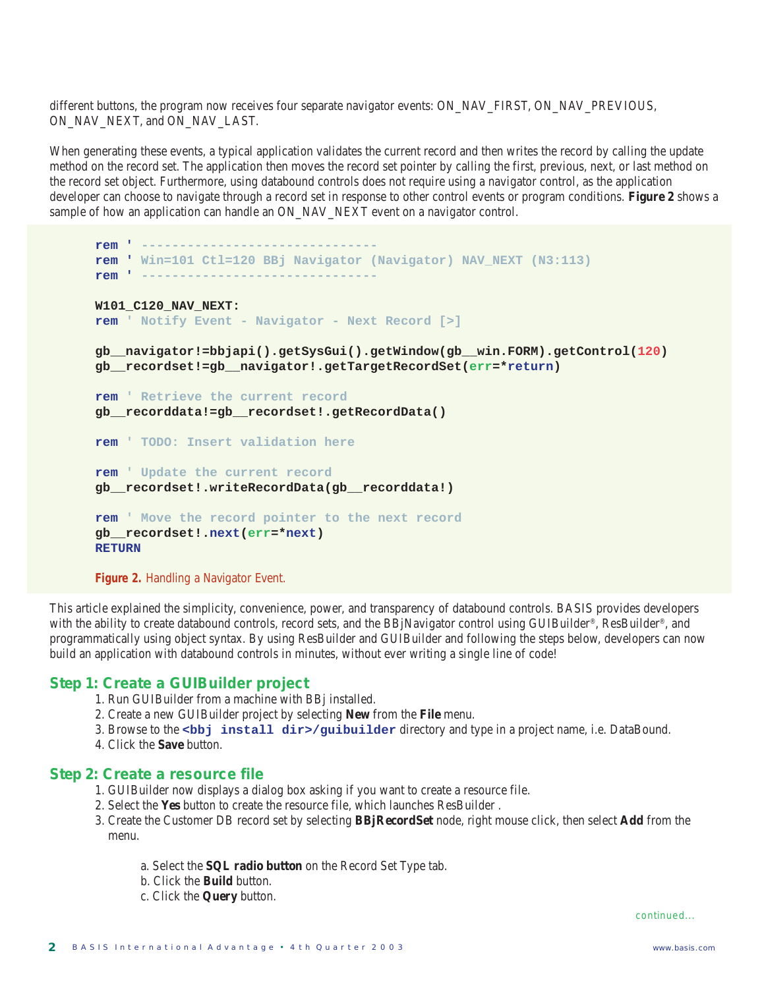different buttons, the program now receives four separate navigator events: ON\_NAV\_FIRST, ON\_NAV\_PREVIOUS, ON\_NAV\_NEXT, and ON\_NAV\_LAST.

When generating these events, a typical application validates the current record and then writes the record by calling the update method on the record set. The application then moves the record set pointer by calling the first, previous, next, or last method on the record set object. Furthermore, using databound controls does not require using a navigator control, as the application developer can choose to navigate through a record set in response to other control events or program conditions. **Figure 2** shows a sample of how an application can handle an ON\_NAV\_NEXT event on a navigator control.

```
rem ' -------------------------------
rem ' Win=101 Ctl=120 BBj Navigator (Navigator) NAV_NEXT (N3:113)
rem ' -------------------------------
W101_C120_NAV_NEXT:
rem ' Notify Event - Navigator - Next Record [>]
gb__navigator!=bbjapi().getSysGui().getWindow(gb__win.FORM).getControl(120)
gb__recordset!=gb__navigator!.getTargetRecordSet(err=*return)
rem ' Retrieve the current record
gb__recorddata!=gb__recordset!.getRecordData()
rem ' TODO: Insert validation here
rem ' Update the current record
gb__recordset!.writeRecordData(gb__recorddata!)
rem ' Move the record pointer to the next record
gb__recordset!.next(err=*next)
RETURN
Figure 2. Handling a Navigator Event.
```
This article explained the simplicity, convenience, power, and transparency of databound controls. BASIS provides developers with the ability to create databound controls, record sets, and the BBjNavigator control using GUIBuilder®, ResBuilder®, and programmatically using object syntax. By using ResBuilder and GUIBuilder and following the steps below, developers can now build an application with databound controls in minutes, without ever writing a single line of code!

#### **Step 1: Create a GUIBuilder project**

- 1. Run GUIBuilder from a machine with BBj installed.
- 2. Create a new GUIBuilder project by selecting **New** from the **File** menu.
- 3. Browse to the **<bbj install dir>/guibuilder** directory and type in a project name, i.e. DataBound.
- 4. Click the **Save** button.

#### **Step 2: Create a resource file**

- 1. GUIBuilder now displays a dialog box asking if you want to create a resource file.
- 2. Select the **Yes** button to create the resource file, which launches ResBuilder .
- 3. Create the Customer DB record set by selecting **BBjRecordSet** node, right mouse click, then select **Add** from the menu.
	- a. Select the **SQL radio button** on the Record Set Type tab.
	- b. Click the **Build** button.
	- c. Click the **Query** button.

*continued...*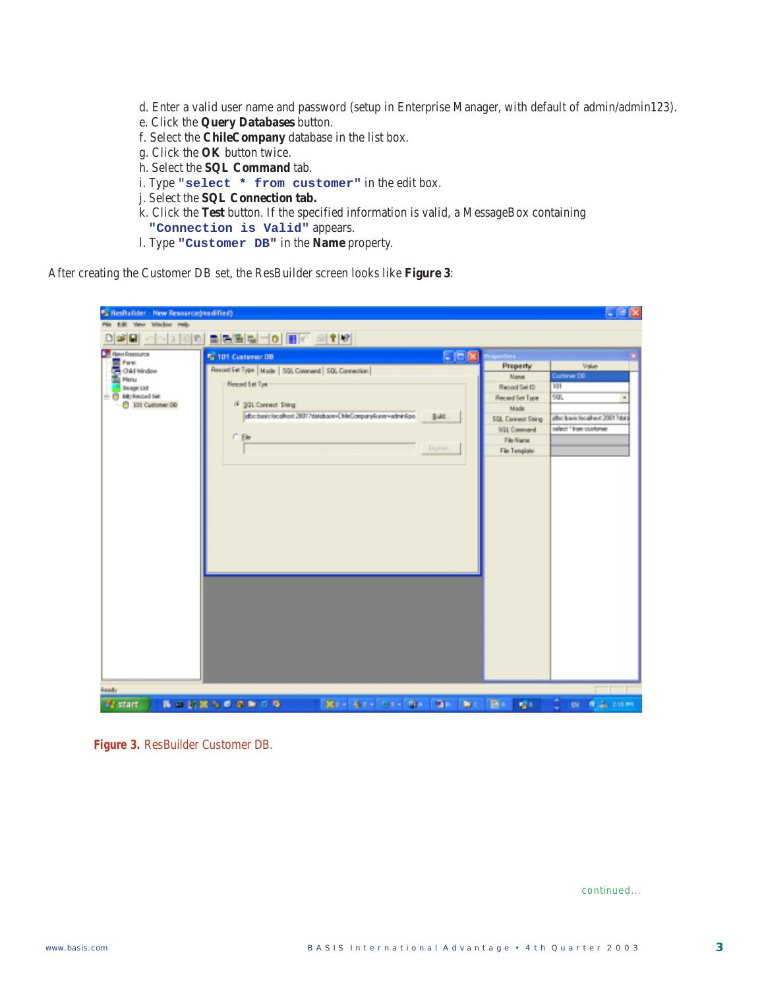- d. Enter a valid user name and password (setup in Enterprise Manager, with default of admin/admin123).
- e. Click the **Query Databases** button.
- f. Select the **ChileCompany** database in the list box.
- g. Click the **OK** button twice.
- h. Select the **SQL Command** tab.
- i. Type "**select \* from customer"** in the edit box.
- j. Select the **SQL Connection tab.**
- k. Click the **Test** button. If the specified information is valid, a MessageBox containing **"Connection is Valid"** appears.
- l. Type **"Customer DB"** in the **Name** property.

After creating the Customer DB set, the ResBuilder screen looks like **Figure 3**:

| "TResBuilder - New Resource/modified)<br>File Edit Yesu Wedow Help                                                                           |                                                                                                                                                                                                        |                        |                                                                                                                                               | $-50$                                                                                                      |
|----------------------------------------------------------------------------------------------------------------------------------------------|--------------------------------------------------------------------------------------------------------------------------------------------------------------------------------------------------------|------------------------|-----------------------------------------------------------------------------------------------------------------------------------------------|------------------------------------------------------------------------------------------------------------|
|                                                                                                                                              | DGB 시작제에 미터리 페이트 호텔                                                                                                                                                                                    |                        |                                                                                                                                               |                                                                                                            |
| <b>The Resource</b><br><b>E</b> Form<br>Old Window<br><b>The Planu</b><br><b>E</b> Insage Ltd.<br><b>B</b> Bit Record Set<br>101 Customer DD | 15 101 Custamer DB<br>Record Set Type   Made   SQL Conmerd   SQL Connection  <br>Record Set Tye<br>F \$91 Connect String<br>abc.bast.localhort.2001?databare=ChileCompany&use=admin@aa<br><b>C</b> Ele | 日回因<br>Build.<br>Down. | Property<br>Manie<br>Record Set ID<br>Receid Set Type<br>Mode<br>SDL Connect Shing<br><b>SGL Command</b><br>File Name<br><b>File Template</b> | Value<br>Custoner DD<br>101<br>SQL<br>jdbo baois localiwat 2001 <sup>5</sup> data<br>select " hom customer |
| Ready<br><b>By start</b>                                                                                                                     | <b><i>BONSSCROP</i></b>                                                                                                                                                                                | Bir Bir Dr B Bir       | 面。<br>$\mathbf{D}$<br><b>Sec.</b>                                                                                                             | Come Carston                                                                                               |

**Figure 3.** ResBuilder Customer DB.

*continued...*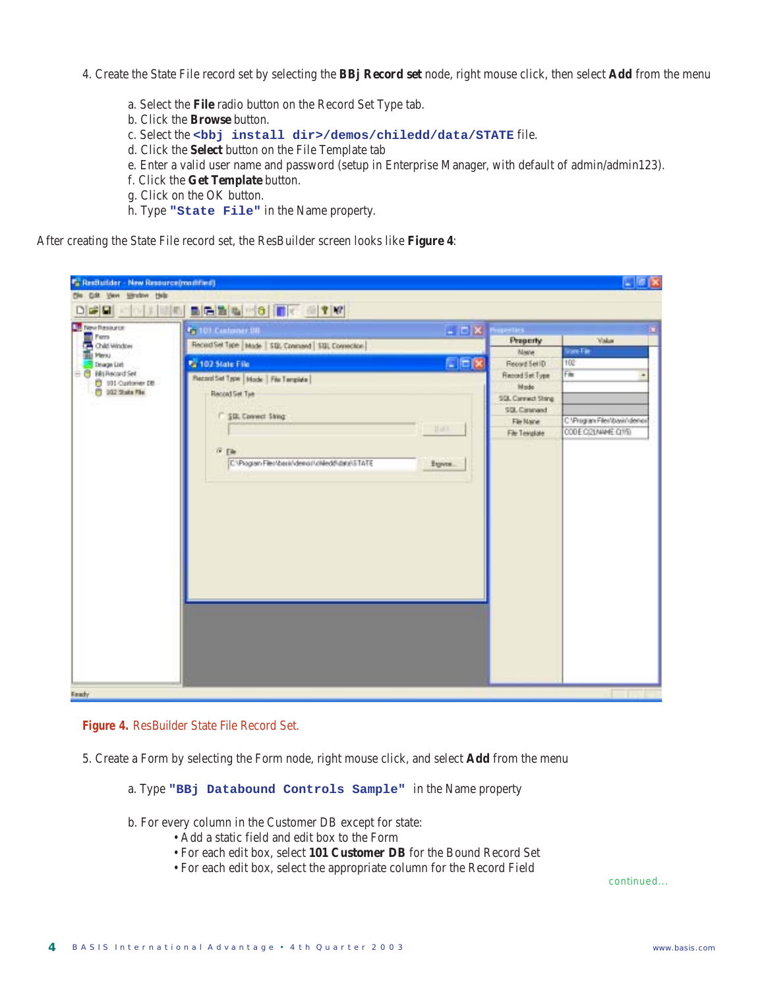- 4. Create the State File record set by selecting the **BBj Record set** node, right mouse click, then select **Add** from the menu
	- a. Select the **File** radio button on the Record Set Type tab.
	- b. Click the **Browse** button.
	- c. Select the **<bbj install dir>/demos/chiledd/data/STATE** file.
	- d. Click the **Select** button on the File Template tab
	- e. Enter a valid user name and password (setup in Enterprise Manager, with default of admin/admin123).
	- f. Click the **Get Template** button.
	- g. Click on the OK button.
	- h. Type **"State File"** in the Name property.

After creating the State File record set, the ResBuilder screen looks like **Figure 4**:

| <b>19 New Resource</b><br>Fam<br>Child Window<br><b>BEL Menu</b><br><b>Image List</b> | <b>Pr</b> 101 Customer Off                                    | - DX Muetes                 |                                                         |
|---------------------------------------------------------------------------------------|---------------------------------------------------------------|-----------------------------|---------------------------------------------------------|
|                                                                                       | Reced Set Type   Mode   SQL Connered   SQL Connection         | Property                    | <b>Value</b><br>State Fae                               |
|                                                                                       | □回区<br><b>Ca</b> 102 State File                               | Maine<br>Record Set ID      | 102                                                     |
| - 图 Biti Record Set                                                                   | Record Set Type   Mode   File Template                        | <b>Fincord Set Type</b>     | Film                                                    |
| 101 Customer DB<br><sup>(1)</sup> 102 State File                                      |                                                               | Mode                        |                                                         |
|                                                                                       | Record Set Tue                                                | SGL Cannect Stang           |                                                         |
|                                                                                       | <b>F SIX Connect String</b>                                   | SQL Cannand                 |                                                         |
|                                                                                       | <b>Hall</b>                                                   | File Name<br>File Tetralate | C. Program Files/Ibasis/Identist<br>CODE CIZLAMME CITS) |
|                                                                                       |                                                               |                             |                                                         |
|                                                                                       | <b>IF Ele</b>                                                 |                             |                                                         |
|                                                                                       | C:\Program Files\basis\deinail\chiledd\data\5TATE<br>Exports. |                             |                                                         |
|                                                                                       |                                                               |                             |                                                         |
|                                                                                       |                                                               |                             |                                                         |
|                                                                                       |                                                               |                             |                                                         |
|                                                                                       |                                                               |                             |                                                         |
|                                                                                       |                                                               |                             |                                                         |
|                                                                                       |                                                               |                             |                                                         |
|                                                                                       |                                                               |                             |                                                         |
|                                                                                       |                                                               |                             |                                                         |
|                                                                                       |                                                               |                             |                                                         |
|                                                                                       |                                                               |                             |                                                         |
|                                                                                       |                                                               |                             |                                                         |
|                                                                                       |                                                               |                             |                                                         |
|                                                                                       |                                                               |                             |                                                         |
|                                                                                       |                                                               |                             |                                                         |
|                                                                                       |                                                               |                             |                                                         |
|                                                                                       |                                                               |                             |                                                         |



5. Create a Form by selecting the Form node, right mouse click, and select **Add** from the menu

a. Type **"BBj Databound Controls Sample"** in the Name property

- b. For every column in the Customer DB except for state:
	- Add a static field and edit box to the Form
	- For each edit box, select **101 Customer DB** for the Bound Record Set
	- For each edit box, select the appropriate column for the Record Field

*continued...*